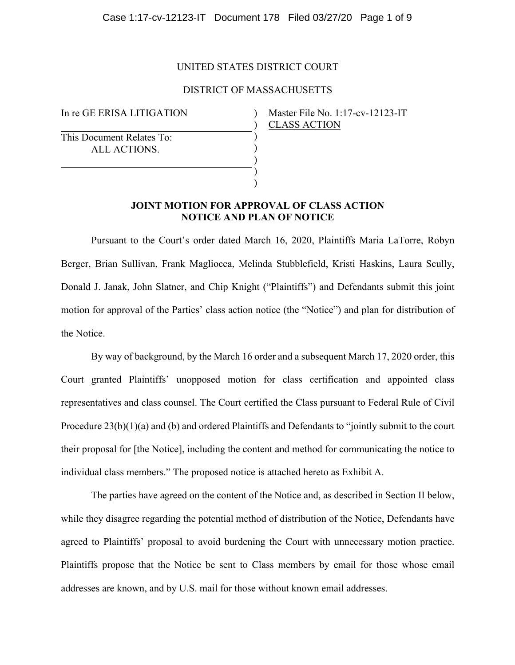## UNITED STATES DISTRICT COURT

# DISTRICT OF MASSACHUSETTS

) ) ) ) ) ) )

In re GE ERISA LITIGATION

This Document Relates To: ALL ACTIONS.

Master File No. 1:17-cv-12123-IT CLASS ACTION

# **JOINT MOTION FOR APPROVAL OF CLASS ACTION NOTICE AND PLAN OF NOTICE**

Pursuant to the Court's order dated March 16, 2020, Plaintiffs Maria LaTorre, Robyn Berger, Brian Sullivan, Frank Magliocca, Melinda Stubblefield, Kristi Haskins, Laura Scully, Donald J. Janak, John Slatner, and Chip Knight ("Plaintiffs") and Defendants submit this joint motion for approval of the Parties' class action notice (the "Notice") and plan for distribution of the Notice.

By way of background, by the March 16 order and a subsequent March 17, 2020 order, this Court granted Plaintiffs' unopposed motion for class certification and appointed class representatives and class counsel. The Court certified the Class pursuant to Federal Rule of Civil Procedure 23(b)(1)(a) and (b) and ordered Plaintiffs and Defendants to "jointly submit to the court their proposal for [the Notice], including the content and method for communicating the notice to individual class members." The proposed notice is attached hereto as Exhibit A.

The parties have agreed on the content of the Notice and, as described in Section II below, while they disagree regarding the potential method of distribution of the Notice, Defendants have agreed to Plaintiffs' proposal to avoid burdening the Court with unnecessary motion practice. Plaintiffs propose that the Notice be sent to Class members by email for those whose email addresses are known, and by U.S. mail for those without known email addresses.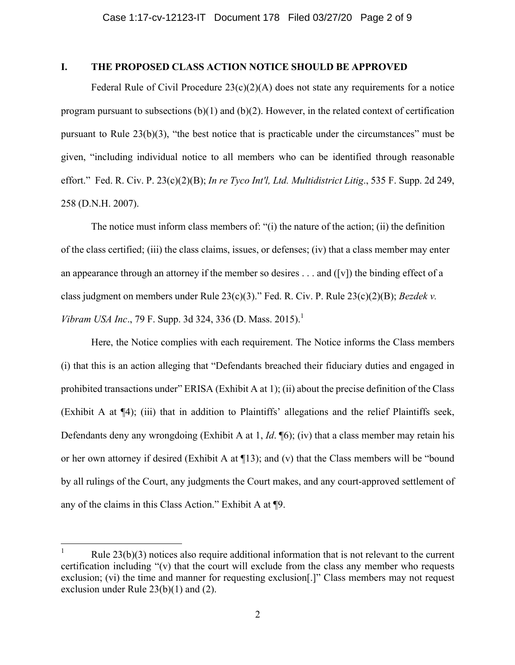# **I. THE PROPOSED CLASS ACTION NOTICE SHOULD BE APPROVED**

Federal Rule of Civil Procedure  $23(c)(2)(A)$  does not state any requirements for a notice program pursuant to subsections (b)(1) and (b)(2). However, in the related context of certification pursuant to Rule 23(b)(3), "the best notice that is practicable under the circumstances" must be given, "including individual notice to all members who can be identified through reasonable effort." Fed. R. Civ. P. 23(c)(2)(B); *In re Tyco Int'l, Ltd. Multidistrict Litig*., 535 F. Supp. 2d 249, 258 (D.N.H. 2007).

The notice must inform class members of: "(i) the nature of the action; (ii) the definition of the class certified; (iii) the class claims, issues, or defenses; (iv) that a class member may enter an appearance through an attorney if the member so desires . . . and ([v]) the binding effect of a class judgment on members under Rule 23(c)(3)." Fed. R. Civ. P. Rule 23(c)(2)(B); *Bezdek v. Vibram USA Inc.*, 79 F. Supp. 3d 324, 336 (D. Mass. 2015).<sup>1</sup>

Here, the Notice complies with each requirement. The Notice informs the Class members (i) that this is an action alleging that "Defendants breached their fiduciary duties and engaged in prohibited transactions under" ERISA (Exhibit A at 1); (ii) about the precise definition of the Class (Exhibit A at ¶4); (iii) that in addition to Plaintiffs' allegations and the relief Plaintiffs seek, Defendants deny any wrongdoing (Exhibit A at 1, *Id*. ¶6); (iv) that a class member may retain his or her own attorney if desired (Exhibit A at ¶13); and (v) that the Class members will be "bound by all rulings of the Court, any judgments the Court makes, and any court-approved settlement of any of the claims in this Class Action." Exhibit A at ¶9.

Rule  $23(b)(3)$  notices also require additional information that is not relevant to the current certification including " $(v)$  that the court will exclude from the class any member who requests exclusion; (vi) the time and manner for requesting exclusion[.]" Class members may not request exclusion under Rule 23(b)(1) and (2).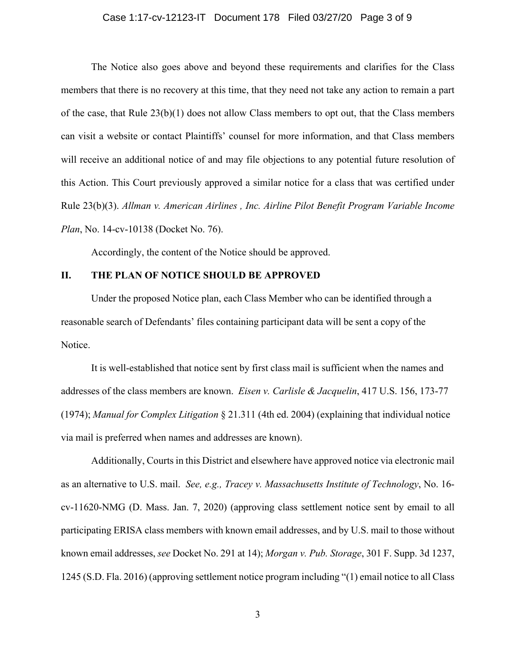#### Case 1:17-cv-12123-IT Document 178 Filed 03/27/20 Page 3 of 9

The Notice also goes above and beyond these requirements and clarifies for the Class members that there is no recovery at this time, that they need not take any action to remain a part of the case, that Rule  $23(b)(1)$  does not allow Class members to opt out, that the Class members can visit a website or contact Plaintiffs' counsel for more information, and that Class members will receive an additional notice of and may file objections to any potential future resolution of this Action. This Court previously approved a similar notice for a class that was certified under Rule 23(b)(3). *Allman v. American Airlines , Inc. Airline Pilot Benefit Program Variable Income Plan*, No. 14-cv-10138 (Docket No. 76).

Accordingly, the content of the Notice should be approved.

#### **II. THE PLAN OF NOTICE SHOULD BE APPROVED**

Under the proposed Notice plan, each Class Member who can be identified through a reasonable search of Defendants' files containing participant data will be sent a copy of the Notice.

It is well-established that notice sent by first class mail is sufficient when the names and addresses of the class members are known. *Eisen v. Carlisle & Jacquelin*, 417 U.S. 156, 173-77 (1974); *Manual for Complex Litigation* § 21.311 (4th ed. 2004) (explaining that individual notice via mail is preferred when names and addresses are known).

Additionally, Courts in this District and elsewhere have approved notice via electronic mail as an alternative to U.S. mail. *See, e.g., Tracey v. Massachusetts Institute of Technology*, No. 16 cv-11620-NMG (D. Mass. Jan. 7, 2020) (approving class settlement notice sent by email to all participating ERISA class members with known email addresses, and by U.S. mail to those without known email addresses, *see* Docket No. 291 at 14); *Morgan v. Pub. Storage*, 301 F. Supp. 3d 1237, 1245 (S.D. Fla. 2016) (approving settlement notice program including "(1) email notice to all Class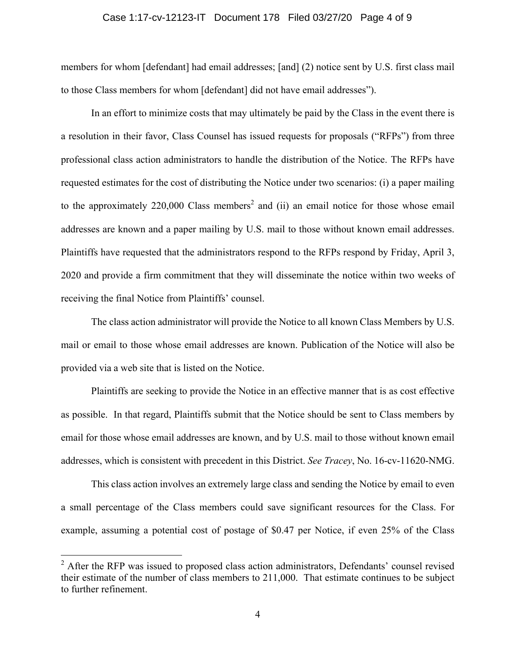#### Case 1:17-cv-12123-IT Document 178 Filed 03/27/20 Page 4 of 9

members for whom [defendant] had email addresses; [and] (2) notice sent by U.S. first class mail to those Class members for whom [defendant] did not have email addresses").

In an effort to minimize costs that may ultimately be paid by the Class in the event there is a resolution in their favor, Class Counsel has issued requests for proposals ("RFPs") from three professional class action administrators to handle the distribution of the Notice. The RFPs have requested estimates for the cost of distributing the Notice under two scenarios: (i) a paper mailing to the approximately  $220,000$  Class members<sup>2</sup> and (ii) an email notice for those whose email addresses are known and a paper mailing by U.S. mail to those without known email addresses. Plaintiffs have requested that the administrators respond to the RFPs respond by Friday, April 3, 2020 and provide a firm commitment that they will disseminate the notice within two weeks of receiving the final Notice from Plaintiffs' counsel.

The class action administrator will provide the Notice to all known Class Members by U.S. mail or email to those whose email addresses are known. Publication of the Notice will also be provided via a web site that is listed on the Notice.

Plaintiffs are seeking to provide the Notice in an effective manner that is as cost effective as possible. In that regard, Plaintiffs submit that the Notice should be sent to Class members by email for those whose email addresses are known, and by U.S. mail to those without known email addresses, which is consistent with precedent in this District. *See Tracey*, No. 16-cv-11620-NMG.

This class action involves an extremely large class and sending the Notice by email to even a small percentage of the Class members could save significant resources for the Class. For example, assuming a potential cost of postage of \$0.47 per Notice, if even 25% of the Class

<sup>&</sup>lt;sup>2</sup> After the RFP was issued to proposed class action administrators, Defendants' counsel revised their estimate of the number of class members to 211,000. That estimate continues to be subject to further refinement.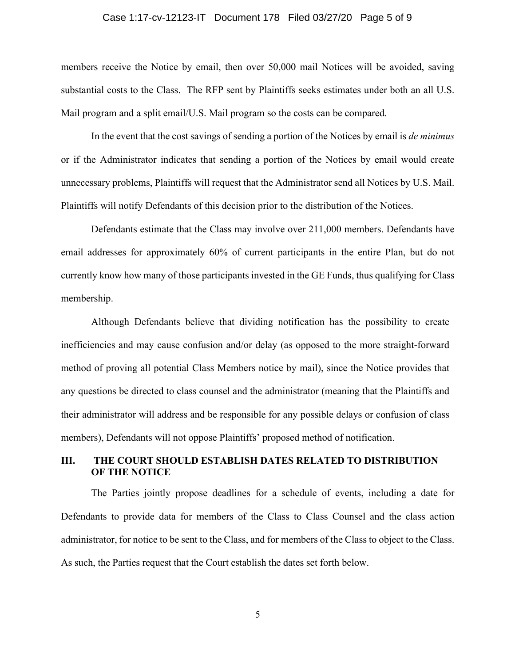#### Case 1:17-cv-12123-IT Document 178 Filed 03/27/20 Page 5 of 9

members receive the Notice by email, then over 50,000 mail Notices will be avoided, saving substantial costs to the Class. The RFP sent by Plaintiffs seeks estimates under both an all U.S. Mail program and a split email/U.S. Mail program so the costs can be compared.

In the event that the cost savings of sending a portion of the Notices by email is *de minimus* or if the Administrator indicates that sending a portion of the Notices by email would create unnecessary problems, Plaintiffs will request that the Administrator send all Notices by U.S. Mail. Plaintiffs will notify Defendants of this decision prior to the distribution of the Notices.

Defendants estimate that the Class may involve over 211,000 members. Defendants have email addresses for approximately 60% of current participants in the entire Plan, but do not currently know how many of those participants invested in the GE Funds, thus qualifying for Class membership.

Although Defendants believe that dividing notification has the possibility to create inefficiencies and may cause confusion and/or delay (as opposed to the more straight-forward method of proving all potential Class Members notice by mail), since the Notice provides that any questions be directed to class counsel and the administrator (meaning that the Plaintiffs and their administrator will address and be responsible for any possible delays or confusion of class members), Defendants will not oppose Plaintiffs' proposed method of notification.

#### **III. THE COURT SHOULD ESTABLISH DATES RELATED TO DISTRIBUTION OF THE NOTICE**

The Parties jointly propose deadlines for a schedule of events, including a date for Defendants to provide data for members of the Class to Class Counsel and the class action administrator, for notice to be sent to the Class, and for members of the Class to object to the Class. As such, the Parties request that the Court establish the dates set forth below.

5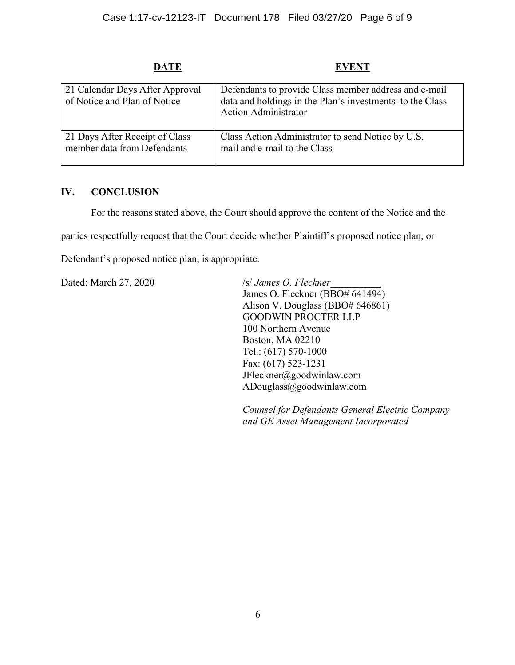# **DATE EVENT**

| 21 Calendar Days After Approval<br>of Notice and Plan of Notice | Defendants to provide Class member address and e-mail<br>data and holdings in the Plan's investments to the Class<br><b>Action Administrator</b> |
|-----------------------------------------------------------------|--------------------------------------------------------------------------------------------------------------------------------------------------|
| 21 Days After Receipt of Class                                  | Class Action Administrator to send Notice by U.S.                                                                                                |
| member data from Defendants                                     | mail and e-mail to the Class                                                                                                                     |

# **IV. CONCLUSION**

For the reasons stated above, the Court should approve the content of the Notice and the

parties respectfully request that the Court decide whether Plaintiff's proposed notice plan, or

Defendant's proposed notice plan, is appropriate.

Dated: March 27, 2020 /s/ *James O. Fleckner* 

James O. Fleckner (BBO# 641494) Alison V. Douglass (BBO# 646861) GOODWIN PROCTER LLP 100 Northern Avenue Boston, MA 02210 Tel.: (617) 570-1000 Fax: (617) 523-1231 JFleckner@goodwinlaw.com ADouglass@goodwinlaw.com

*Counsel for Defendants General Electric Company and GE Asset Management Incorporated*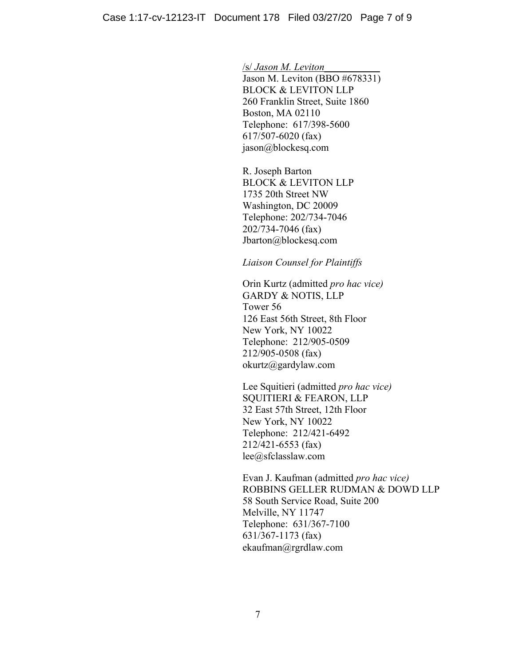/s/ *Jason M. Leviton*\_\_\_\_\_\_\_\_\_\_\_

Jason M. Leviton (BBO #678331) BLOCK & LEVITON LLP 260 Franklin Street, Suite 1860 Boston, MA 02110 Telephone: 617/398-5600 617/507-6020 (fax) jason@blockesq.com

R. Joseph Barton BLOCK & LEVITON LLP 1735 20th Street NW Washington, DC 20009 Telephone: 202/734-7046 202/734-7046 (fax) Jbarton@blockesq.com

 *Liaison Counsel for Plaintiffs*

Orin Kurtz (admitted *pro hac vice)* GARDY & NOTIS, LLP Tower 56 126 East 56th Street, 8th Floor New York, NY 10022 Telephone: 212/905-0509 212/905-0508 (fax) okurtz@gardylaw.com

 Lee Squitieri (admitted *pro hac vice)* SQUITIERI & FEARON, LLP 32 East 57th Street, 12th Floor New York, NY 10022 Telephone: 212/421-6492 212/421-6553 (fax) lee@sfclasslaw.com

Evan J. Kaufman (admitted *pro hac vice)* ROBBINS GELLER RUDMAN & DOWD LLP 58 South Service Road, Suite 200 Melville, NY 11747 Telephone: 631/367-7100 631/367-1173 (fax) ekaufman@rgrdlaw.com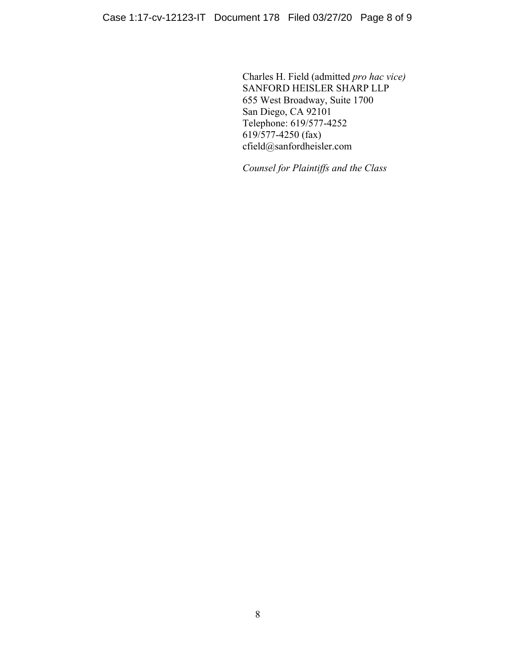Charles H. Field (admitted *pro hac vice)* SANFORD HEISLER SHARP LLP 655 West Broadway, Suite 1700 San Diego, CA 92101 Telephone: 619/577-4252 619/577-4250 (fax) cfield@sanfordheisler.com

*Counsel for Plaintiffs and the Class*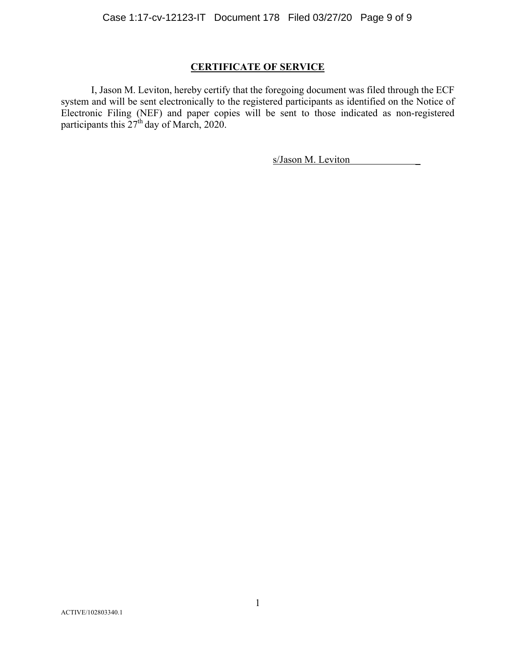# **CERTIFICATE OF SERVICE**

I, Jason M. Leviton, hereby certify that the foregoing document was filed through the ECF system and will be sent electronically to the registered participants as identified on the Notice of Electronic Filing (NEF) and paper copies will be sent to those indicated as non-registered participants this  $27<sup>th</sup>$  day of March, 2020.

s/Jason M. Leviton \_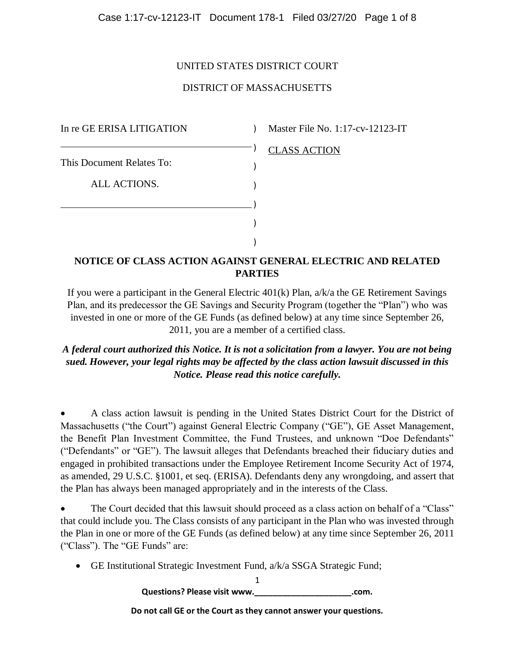# UNITED STATES DISTRICT COURT

# DISTRICT OF MASSACHUSETTS

In re GE ERISA LITIGATION This Document Relates To: ALL ACTIONS. ) ) ) ) ) )

) Master File No. 1:17-cv-12123-IT

# CLASS ACTION

# **NOTICE OF CLASS ACTION AGAINST GENERAL ELECTRIC AND RELATED PARTIES**

If you were a participant in the General Electric 401(k) Plan, a/k/a the GE Retirement Savings Plan, and its predecessor the GE Savings and Security Program (together the "Plan") who was invested in one or more of the GE Funds (as defined below) at any time since September 26, 2011, you are a member of a certified class.

*A federal court authorized this Notice. It is not a solicitation from a lawyer. You are not being sued. However, your legal rights may be affected by the class action lawsuit discussed in this Notice. Please read this notice carefully.*

 A class action lawsuit is pending in the United States District Court for the District of Massachusetts ("the Court") against General Electric Company ("GE"), GE Asset Management, the Benefit Plan Investment Committee, the Fund Trustees, and unknown "Doe Defendants" ("Defendants" or "GE"). The lawsuit alleges that Defendants breached their fiduciary duties and engaged in prohibited transactions under the Employee Retirement Income Security Act of 1974, as amended, 29 U.S.C. §1001, et seq. (ERISA). Defendants deny any wrongdoing, and assert that the Plan has always been managed appropriately and in the interests of the Class.

 The Court decided that this lawsuit should proceed as a class action on behalf of a "Class" that could include you. The Class consists of any participant in the Plan who was invested through the Plan in one or more of the GE Funds (as defined below) at any time since September 26, 2011 ("Class"). The "GE Funds" are:

GE Institutional Strategic Investment Fund, a/k/a SSGA Strategic Fund;

1 **Questions? Please visit www.\_\_\_\_\_\_\_\_\_\_\_\_\_\_\_\_\_\_\_\_\_.com.**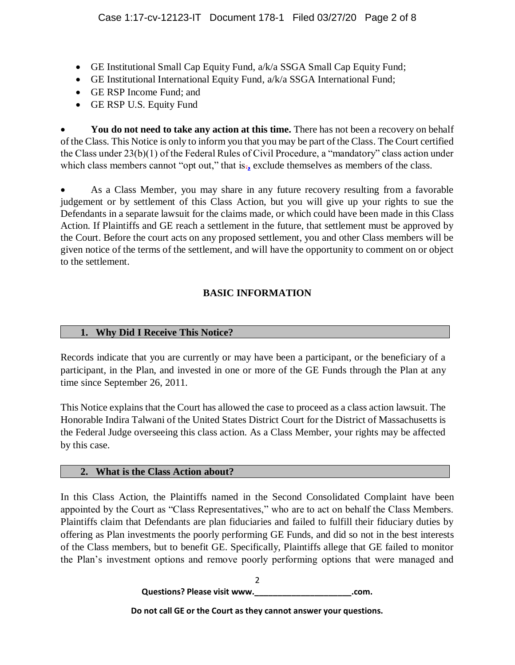- GE Institutional Small Cap Equity Fund, a/k/a SSGA Small Cap Equity Fund;
- GE Institutional International Equity Fund, a/k/a SSGA International Fund;
- GE RSP Income Fund; and
- GE RSP U.S. Equity Fund

You do not need to take any action at this time. There has not been a recovery on behalf of the Class. This Notice is only to inform you that you may be part of the Class. The Court certified the Class under 23(b)(1) of the Federal Rules of Civil Procedure, a "mandatory" class action under which class members cannot "opt out," that is<sub>.</sub> exclude themselves as members of the class.

 As a Class Member, you may share in any future recovery resulting from a favorable judgement or by settlement of this Class Action, but you will give up your rights to sue the Defendants in a separate lawsuit for the claims made, or which could have been made in this Class Action. If Plaintiffs and GE reach a settlement in the future, that settlement must be approved by the Court. Before the court acts on any proposed settlement, you and other Class members will be given notice of the terms of the settlement, and will have the opportunity to comment on or object to the settlement.

# **BASIC INFORMATION**

# **1. Why Did I Receive This Notice?**

Records indicate that you are currently or may have been a participant, or the beneficiary of a participant, in the Plan, and invested in one or more of the GE Funds through the Plan at any time since September 26, 2011.

This Notice explains that the Court has allowed the case to proceed as a class action lawsuit. The Honorable Indira Talwani of the United States District Court for the District of Massachusetts is the Federal Judge overseeing this class action. As a Class Member, your rights may be affected by this case.

# **2. What is the Class Action about?**

In this Class Action, the Plaintiffs named in the Second Consolidated Complaint have been appointed by the Court as "Class Representatives," who are to act on behalf the Class Members. Plaintiffs claim that Defendants are plan fiduciaries and failed to fulfill their fiduciary duties by offering as Plan investments the poorly performing GE Funds, and did so not in the best interests of the Class members, but to benefit GE. Specifically, Plaintiffs allege that GE failed to monitor the Plan's investment options and remove poorly performing options that were managed and

> $\mathfrak{D}$ **Questions? Please visit www.\_\_\_\_\_\_\_\_\_\_\_\_\_\_\_\_\_\_\_\_\_.com.**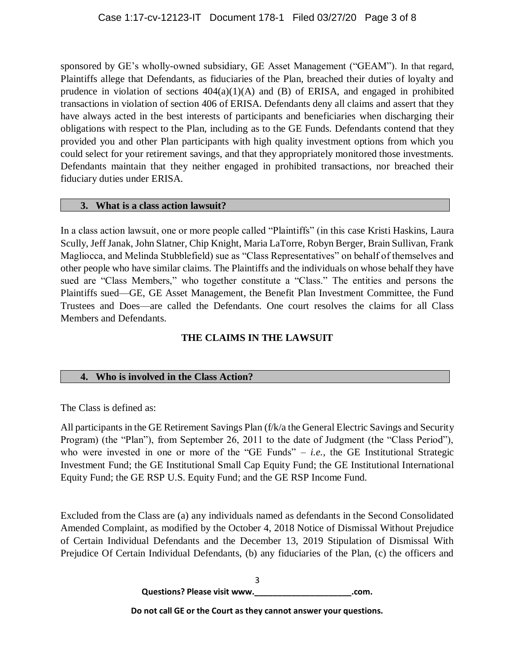sponsored by GE's wholly-owned subsidiary, GE Asset Management ("GEAM"). In that regard, Plaintiffs allege that Defendants, as fiduciaries of the Plan, breached their duties of loyalty and prudence in violation of sections  $404(a)(1)(A)$  and  $(B)$  of ERISA, and engaged in prohibited transactions in violation of section 406 of ERISA. Defendants deny all claims and assert that they have always acted in the best interests of participants and beneficiaries when discharging their obligations with respect to the Plan, including as to the GE Funds. Defendants contend that they provided you and other Plan participants with high quality investment options from which you could select for your retirement savings, and that they appropriately monitored those investments. Defendants maintain that they neither engaged in prohibited transactions, nor breached their fiduciary duties under ERISA.

# **3. What is a class action lawsuit?**

In a class action lawsuit, one or more people called "Plaintiffs" (in this case Kristi Haskins, Laura Scully, Jeff Janak, John Slatner, Chip Knight, Maria LaTorre, Robyn Berger, Brain Sullivan, Frank Magliocca, and Melinda Stubblefield) sue as "Class Representatives" on behalf of themselves and other people who have similar claims. The Plaintiffs and the individuals on whose behalf they have sued are "Class Members," who together constitute a "Class." The entities and persons the Plaintiffs sued—GE, GE Asset Management, the Benefit Plan Investment Committee, the Fund Trustees and Does—are called the Defendants. One court resolves the claims for all Class Members and Defendants.

# **THE CLAIMS IN THE LAWSUIT**

# **4. Who is involved in the Class Action?**

The Class is defined as:

All participants in the GE Retirement Savings Plan (f/k/a the General Electric Savings and Security Program) (the "Plan"), from September 26, 2011 to the date of Judgment (the "Class Period"), who were invested in one or more of the "GE Funds" – *i.e.*, the GE Institutional Strategic Investment Fund; the GE Institutional Small Cap Equity Fund; the GE Institutional International Equity Fund; the GE RSP U.S. Equity Fund; and the GE RSP Income Fund.

Excluded from the Class are (a) any individuals named as defendants in the Second Consolidated Amended Complaint, as modified by the October 4, 2018 Notice of Dismissal Without Prejudice of Certain Individual Defendants and the December 13, 2019 Stipulation of Dismissal With Prejudice Of Certain Individual Defendants, (b) any fiduciaries of the Plan, (c) the officers and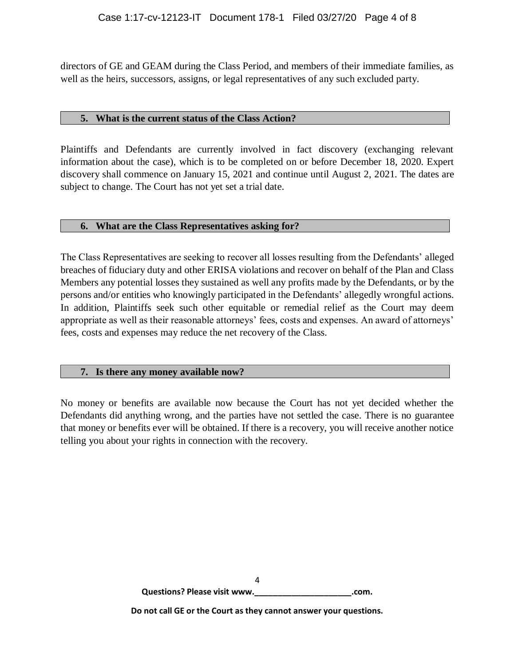directors of GE and GEAM during the Class Period, and members of their immediate families, as well as the heirs, successors, assigns, or legal representatives of any such excluded party.

# **5. What is the current status of the Class Action?**

Plaintiffs and Defendants are currently involved in fact discovery (exchanging relevant information about the case), which is to be completed on or before December 18, 2020. Expert discovery shall commence on January 15, 2021 and continue until August 2, 2021. The dates are subject to change. The Court has not yet set a trial date.

# **6. What are the Class Representatives asking for?**

The Class Representatives are seeking to recover all losses resulting from the Defendants' alleged breaches of fiduciary duty and other ERISA violations and recover on behalf of the Plan and Class Members any potential losses they sustained as well any profits made by the Defendants, or by the persons and/or entities who knowingly participated in the Defendants' allegedly wrongful actions. In addition, Plaintiffs seek such other equitable or remedial relief as the Court may deem appropriate as well as their reasonable attorneys' fees, costs and expenses. An award of attorneys' fees, costs and expenses may reduce the net recovery of the Class.

# **7. Is there any money available now?**

No money or benefits are available now because the Court has not yet decided whether the Defendants did anything wrong, and the parties have not settled the case. There is no guarantee that money or benefits ever will be obtained. If there is a recovery, you will receive another notice telling you about your rights in connection with the recovery.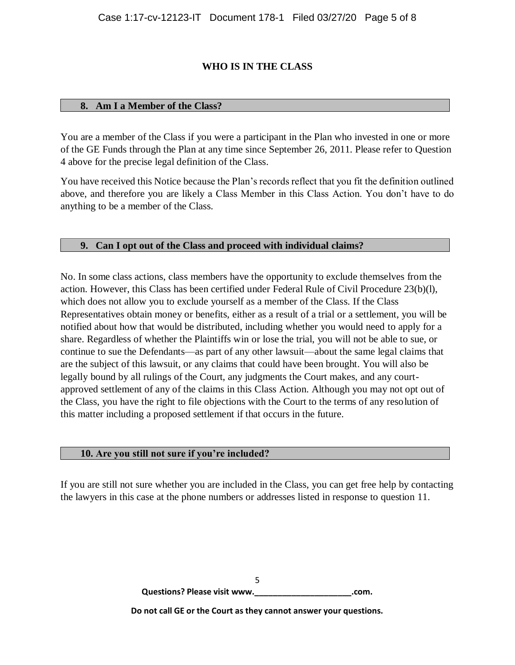# **WHO IS IN THE CLASS**

# **8. Am I a Member of the Class?**

You are a member of the Class if you were a participant in the Plan who invested in one or more of the GE Funds through the Plan at any time since September 26, 2011. Please refer to Question 4 above for the precise legal definition of the Class.

You have received this Notice because the Plan's records reflect that you fit the definition outlined above, and therefore you are likely a Class Member in this Class Action. You don't have to do anything to be a member of the Class.

# **9. Can I opt out of the Class and proceed with individual claims?**

No. In some class actions, class members have the opportunity to exclude themselves from the action. However, this Class has been certified under Federal Rule of Civil Procedure 23(b)(l), which does not allow you to exclude yourself as a member of the Class. If the Class Representatives obtain money or benefits, either as a result of a trial or a settlement, you will be notified about how that would be distributed, including whether you would need to apply for a share. Regardless of whether the Plaintiffs win or lose the trial, you will not be able to sue, or continue to sue the Defendants—as part of any other lawsuit—about the same legal claims that are the subject of this lawsuit, or any claims that could have been brought. You will also be legally bound by all rulings of the Court, any judgments the Court makes, and any courtapproved settlement of any of the claims in this Class Action. Although you may not opt out of the Class, you have the right to file objections with the Court to the terms of any resolution of this matter including a proposed settlement if that occurs in the future.

## **10. Are you still not sure if you're included?**

If you are still not sure whether you are included in the Class, you can get free help by contacting the lawyers in this case at the phone numbers or addresses listed in response to question 11.

> 5 **Questions? Please visit www.\_\_\_\_\_\_\_\_\_\_\_\_\_\_\_\_\_\_\_\_\_.com.**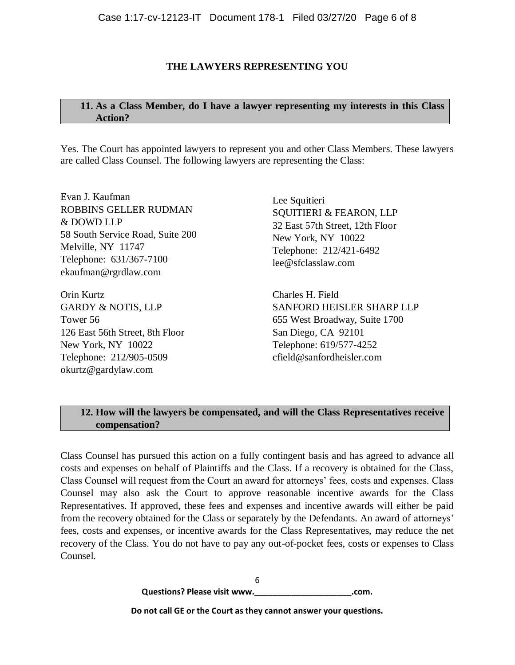# **THE LAWYERS REPRESENTING YOU**

# **11. As a Class Member, do I have a lawyer representing my interests in this Class Action?**

Yes. The Court has appointed lawyers to represent you and other Class Members. These lawyers are called Class Counsel. The following lawyers are representing the Class:

Evan J. Kaufman ROBBINS GELLER RUDMAN & DOWD LLP 58 South Service Road, Suite 200 Melville, NY 11747 Telephone: 631/367-7100 [ekaufman@rgrdlaw.com](mailto:ekaufman@rgrdlaw.com)

Orin Kurtz GARDY & NOTIS, LLP Tower 56 126 East 56th Street, 8th Floor New York, NY 10022 Telephone: 212/905-0509 [okurtz@gardylaw.com](mailto:okurtz@gardylaw.com)

Lee Squitieri SQUITIERI & FEARON, LLP 32 East 57th Street, 12th Floor New York, NY 10022 Telephone: 212/421-6492 [lee@sfclasslaw.com](mailto:lee@sfclasslaw.com)

Charles H. Field SANFORD HEISLER SHARP LLP 655 West Broadway, Suite 1700 San Diego, CA 92101 Telephone: 619/577-4252 [cfield@sanfordheisler.com](mailto:cfield@sanfordheisler.com)

# **12. How will the lawyers be compensated, and will the Class Representatives receive compensation?**

Class Counsel has pursued this action on a fully contingent basis and has agreed to advance all costs and expenses on behalf of Plaintiffs and the Class. If a recovery is obtained for the Class, Class Counsel will request from the Court an award for attorneys' fees, costs and expenses. Class Counsel may also ask the Court to approve reasonable incentive awards for the Class Representatives. If approved, these fees and expenses and incentive awards will either be paid from the recovery obtained for the Class or separately by the Defendants. An award of attorneys' fees, costs and expenses, or incentive awards for the Class Representatives, may reduce the net recovery of the Class. You do not have to pay any out-of-pocket fees, costs or expenses to Class Counsel.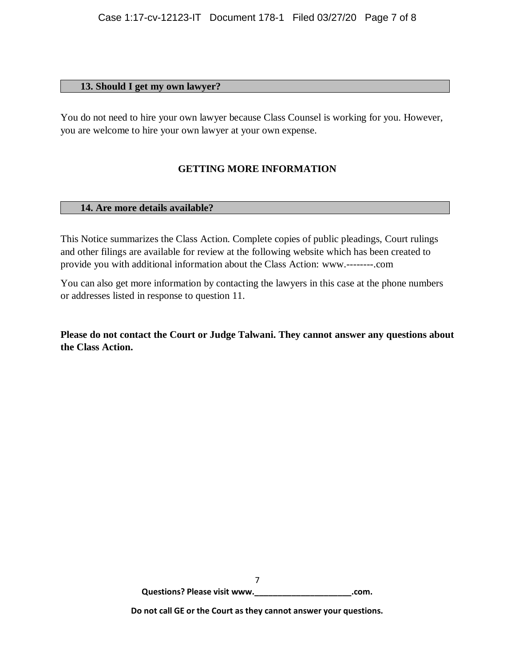## **13. Should I get my own lawyer?**

You do not need to hire your own lawyer because Class Counsel is working for you. However, you are welcome to hire your own lawyer at your own expense.

# **GETTING MORE INFORMATION**

## **14. Are more details available?**

This Notice summarizes the Class Action. Complete copies of public pleadings, Court rulings and other filings are available for review at the following website which has been created to provide you with additional information about the Class Action: [www.--------.com](http://www.--------.com/)

You can also get more information by contacting the lawyers in this case at the phone numbers or addresses listed in response to question 11.

**Please do not contact the Court or Judge Talwani. They cannot answer any questions about the Class Action.**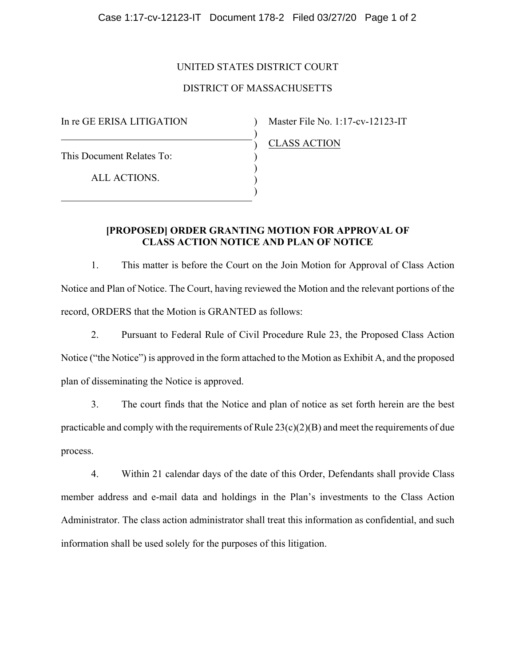# UNITED STATES DISTRICT COURT

# DISTRICT OF MASSACHUSETTS

 $\lambda$ ) ) ) ) ) )

In re GE ERISA LITIGATION

Master File No. 1:17-cv-12123-IT

This Document Relates To:

ALL ACTIONS.

CLASS ACTION

# **[PROPOSED] ORDER GRANTING MOTION FOR APPROVAL OF CLASS ACTION NOTICE AND PLAN OF NOTICE**

1. This matter is before the Court on the Join Motion for Approval of Class Action Notice and Plan of Notice. The Court, having reviewed the Motion and the relevant portions of the record, ORDERS that the Motion is GRANTED as follows:

2. Pursuant to Federal Rule of Civil Procedure Rule 23, the Proposed Class Action Notice ("the Notice") is approved in the form attached to the Motion as Exhibit A, and the proposed plan of disseminating the Notice is approved.

3. The court finds that the Notice and plan of notice as set forth herein are the best practicable and comply with the requirements of Rule  $23(c)(2)(B)$  and meet the requirements of due process.

4. Within 21 calendar days of the date of this Order, Defendants shall provide Class member address and e-mail data and holdings in the Plan's investments to the Class Action Administrator. The class action administrator shall treat this information as confidential, and such information shall be used solely for the purposes of this litigation.